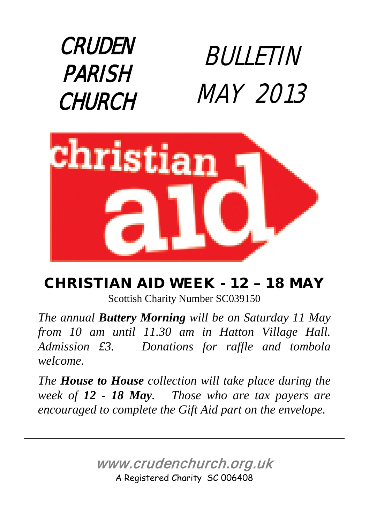



#### CHRISTIAN AID WEEK - 12 – 18 MAY Scottish Charity Number SC039150

*The annual Buttery Morning will be on Saturday 11 May from 10 am until 11.30 am in Hatton Village Hall. Admission £3. Donations for raffle and tombola welcome.*

*The House to House collection will take place during the week of 12 - 18 May. Those who are tax payers are encouraged to complete the Gift Aid part on the envelope.*

> www.crudenchurch.org.uk A Registered Charity SC 006408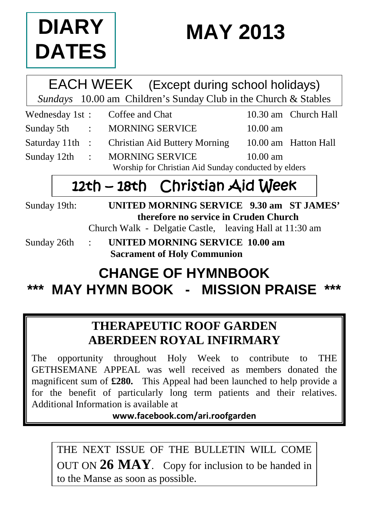

# **MAY 2013**

#### EACH WEEK (Except during school holidays) *Sundays* 10.00 am Children's Sunday Club in the Church & Stables

|  | Wednesday 1st: Coffee and Chat                       |                    | 10.30 am Church Hall |
|--|------------------------------------------------------|--------------------|----------------------|
|  | Sunday 5th : MORNING SERVICE                         | $10.00 \text{ am}$ |                      |
|  | Saturday 11th : Christian Aid Buttery Morning        |                    | 10.00 am Hatton Hall |
|  | Sunday 12th : MORNING SERVICE                        | $10.00 \text{ am}$ |                      |
|  | Worship for Christian Aid Sunday conducted by elders |                    |                      |

### 12th – 18th Christian Aid Week

Sunday 19th: **UNITED MORNING SERVICE 9.30 am ST JAMES' therefore no service in Cruden Church**

Church Walk - Delgatie Castle, leaving Hall at 11:30 am

Sunday 26th : **UNITED MORNING SERVICE 10.00 am Sacrament of Holy Communion**

### **CHANGE OF HYMNBOOK \*\*\* MAY HYMN BOOK - MISSION PRAISE \*\*\***

#### **THERAPEUTIC ROOF GARDEN ABERDEEN ROYAL INFIRMARY**

The opportunity throughout Holy Week to contribute to THE GETHSEMANE APPEAL was well received as members donated the magnificent sum of **£280.** This Appeal had been launched to help provide a for the benefit of particularly long term patients and their relatives. Additional Information is available at

**www.facebook.com/ari.roofgarden**

THE NEXT ISSUE OF THE BULLETIN WILL COME OUT ON **26 MAY**. Copy for inclusion to be handed in to the Manse as soon as possible.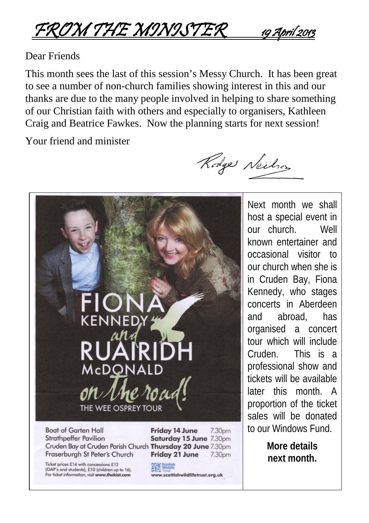FROM THE MINISTER 19 April 2013

#### Dear Friends

This month sees the last of this session's Messy Church. It has been great to see a number of non-church families showing interest in this and our thanks are due to the many people involved in helping to share something of our Christian faith with others and especially to organisers, Kathleen Craig and Beatrice Fawkes. Now the planning starts for next session!

Your friend and minister

Rodge Neilson



Fraserburgh St Peter's Church

Ticket prices £14 with concessions £12 (OAP's and students), £10 (children up to 16). For ficket information, visit www.thekist.com

Friday 21 June 7.30pm

Scottish<br>Wildlife www.scottishwildlifetrust.org.uk

Next month we shall host a special event in our church. Well known entertainer and occasional visitor to our church when she is in Cruden Bay, Fiona Kennedy, who stages concerts in Aberdeen and abroad, has organised a concert tour which will include Cruden. This is a professional show and tickets will be available later this month. A proportion of the ticket sales will be donated to our Windows Fund.

> **More details next month.**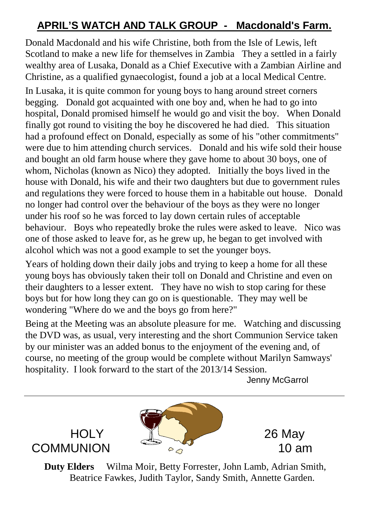#### **APRIL'S WATCH AND TALK GROUP - Macdonald's Farm.**

Donald Macdonald and his wife Christine, both from the Isle of Lewis, left Scotland to make a new life for themselves in Zambia They a settled in a fairly wealthy area of Lusaka, Donald as a Chief Executive with a Zambian Airline and Christine, as a qualified gynaecologist, found a job at a local Medical Centre.

In Lusaka, it is quite common for young boys to hang around street corners begging. Donald got acquainted with one boy and, when he had to go into hospital, Donald promised himself he would go and visit the boy. When Donald finally got round to visiting the boy he discovered he had died. This situation had a profound effect on Donald, especially as some of his "other commitments" were due to him attending church services. Donald and his wife sold their house and bought an old farm house where they gave home to about 30 boys, one of whom, Nicholas (known as Nico) they adopted. Initially the boys lived in the house with Donald, his wife and their two daughters but due to government rules and regulations they were forced to house them in a habitable out house. Donald no longer had control over the behaviour of the boys as they were no longer under his roof so he was forced to lay down certain rules of acceptable behaviour. Boys who repeatedly broke the rules were asked to leave. Nico was one of those asked to leave for, as he grew up, he began to get involved with alcohol which was not a good example to set the younger boys.

Years of holding down their daily jobs and trying to keep a home for all these young boys has obviously taken their toll on Donald and Christine and even on their daughters to a lesser extent. They have no wish to stop caring for these boys but for how long they can go on is questionable. They may well be wondering "Where do we and the boys go from here?"

Being at the Meeting was an absolute pleasure for me. Watching and discussing the DVD was, as usual, very interesting and the short Communion Service taken by our minister was an added bonus to the enjoyment of the evening and, of course, no meeting of the group would be complete without Marilyn Samways' hospitality. I look forward to the start of the 2013/14 Session.

Jenny McGarrol



**Duty Elders** Wilma Moir, Betty Forrester, John Lamb, Adrian Smith, Beatrice Fawkes, Judith Taylor, Sandy Smith, Annette Garden.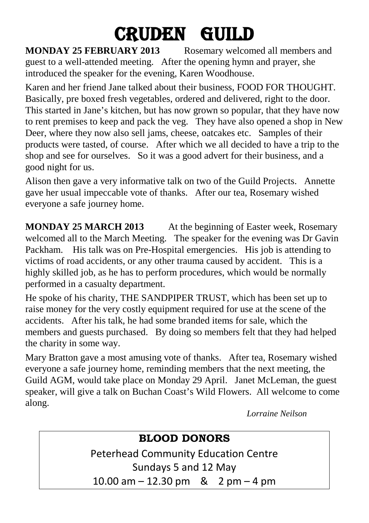# **CRUDEN GUILD**<br>MONDAY 25 FEBRUARY 2013 Rosemary welcom

#### Rosemary welcomed all members and guest to a well-attended meeting. After the opening hymn and prayer, she introduced the speaker for the evening, Karen Woodhouse.

Karen and her friend Jane talked about their business, FOOD FOR THOUGHT. Basically, pre boxed fresh vegetables, ordered and delivered, right to the door. This started in Jane's kitchen, but has now grown so popular, that they have now to rent premises to keep and pack the veg. They have also opened a shop in New Deer, where they now also sell jams, cheese, oatcakes etc. Samples of their products were tasted, of course. After which we all decided to have a trip to the shop and see for ourselves. So it was a good advert for their business, and a good night for us.

Alison then gave a very informative talk on two of the Guild Projects. Annette gave her usual impeccable vote of thanks. After our tea, Rosemary wished everyone a safe journey home.

**MONDAY 25 MARCH 2013** At the beginning of Easter week, Rosemary welcomed all to the March Meeting. The speaker for the evening was Dr Gavin Packham. His talk was on Pre-Hospital emergencies. His job is attending to victims of road accidents, or any other trauma caused by accident. This is a highly skilled job, as he has to perform procedures, which would be normally performed in a casualty department.

He spoke of his charity, THE SANDPIPER TRUST, which has been set up to raise money for the very costly equipment required for use at the scene of the accidents. After his talk, he had some branded items for sale, which the members and guests purchased. By doing so members felt that they had helped the charity in some way.

Mary Bratton gave a most amusing vote of thanks. After tea, Rosemary wished everyone a safe journey home, reminding members that the next meeting, the Guild AGM, would take place on Monday 29 April. Janet McLeman, the guest speaker, will give a talk on Buchan Coast's Wild Flowers. All welcome to come along.

*Lorraine Neilson*

#### **BLOOD DONORS**

Peterhead Community Education Centre Sundays 5 and 12 May 10.00 am – 12.30 pm & 2 pm – 4 pm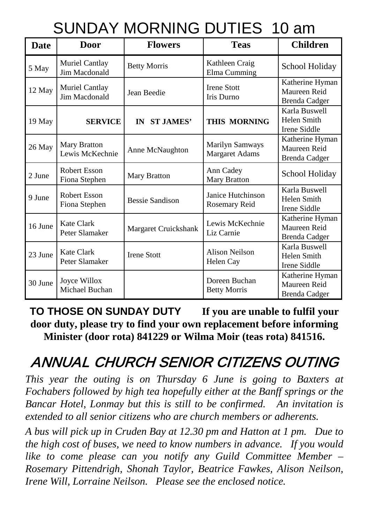### SUNDAY MORNING DUTIES 10 am

| Date    | <b>Door</b>                     | <b>Flowers</b>       | <b>Teas</b>                              | <b>Children</b>                                     |
|---------|---------------------------------|----------------------|------------------------------------------|-----------------------------------------------------|
| 5 May   | Muriel Cantlay<br>Jim Macdonald | <b>Betty Morris</b>  | Kathleen Craig<br>Elma Cumming           | School Holiday                                      |
| 12 May  | Muriel Cantlay<br>Jim Macdonald | Jean Beedie          | <b>Irene Stott</b><br>Iris Durno         | Katherine Hyman<br>Maureen Reid<br>Brenda Cadger    |
| 19 May  | <b>SERVICE</b>                  | IN ST JAMES'         | <b>THIS MORNING</b>                      | Karla Buswell<br>Helen Smith<br>Irene Siddle        |
| 26 May  | Mary Bratton<br>Lewis McKechnie | Anne McNaughton      | Marilyn Samways<br><b>Margaret Adams</b> | Katherine Hyman<br>Maureen Reid<br>Brenda Cadger    |
| 2 June  | Robert Esson<br>Fiona Stephen   | Mary Bratton         | Ann Cadey<br><b>Mary Bratton</b>         | School Holiday                                      |
| 9 June  | Robert Esson<br>Fiona Stephen   | Bessie Sandison      | Janice Hutchinson<br>Rosemary Reid       | Karla Buswell<br>Helen Smith<br><b>Irene Siddle</b> |
| 16 June | Kate Clark<br>Peter Slamaker    | Margaret Cruickshank | Lewis McKechnie<br>Liz Carnie            | Katherine Hyman<br>Maureen Reid<br>Brenda Cadger    |
| 23 June | Kate Clark<br>Peter Slamaker    | <b>Irene Stott</b>   | Alison Neilson<br>Helen Cay              | Karla Buswell<br>Helen Smith<br>Irene Siddle        |
| 30 June | Joyce Willox<br>Michael Buchan  |                      | Doreen Buchan<br><b>Betty Morris</b>     | Katherine Hyman<br>Maureen Reid<br>Brenda Cadger    |

**TO THOSE ON SUNDAY DUTY If you are unable to fulfil your door duty, please try to find your own replacement before informing Minister (door rota) 841229 or Wilma Moir (teas rota) 841516.**

### ANNUAL CHURCH SENIOR CITIZENS OUTING

*This year the outing is on Thursday 6 June is going to Baxters at Fochabers followed by high tea hopefully either at the Banff springs or the Bancar Hotel, Lonmay but this is still to be confirmed. An invitation is extended to all senior citizens who are church members or adherents.* 

*A bus will pick up in Cruden Bay at 12.30 pm and Hatton at 1 pm. Due to the high cost of buses, we need to know numbers in advance. If you would like to come please can you notify any Guild Committee Member – Rosemary Pittendrigh, Shonah Taylor, Beatrice Fawkes, Alison Neilson, Irene Will, Lorraine Neilson. Please see the enclosed notice.*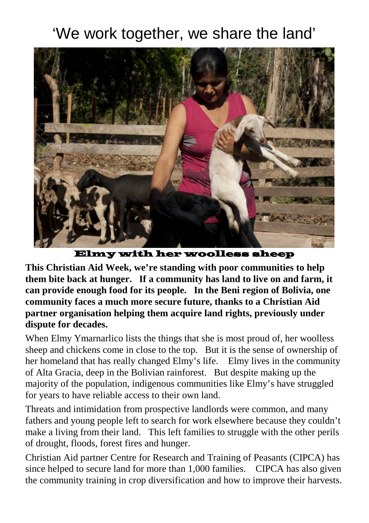### 'We work together, we share the land'



Elmy with her woolless sheep

**This Christian Aid Week, we're standing with poor communities to help them bite back at hunger. If a community has land to live on and farm, it can provide enough food for its people. In the Beni region of Bolivia, one community faces a much more secure future, thanks to a Christian Aid partner organisation helping them acquire land rights, previously under dispute for decades.**

When Elmy Ymarnarlico lists the things that she is most proud of, her woolless sheep and chickens come in close to the top. But it is the sense of ownership of her homeland that has really changed Elmy's life. Elmy lives in the community of Alta Gracia, deep in the Bolivian rainforest. But despite making up the majority of the population, indigenous communities like Elmy's have struggled for years to have reliable access to their own land.

Threats and intimidation from prospective landlords were common, and many fathers and young people left to search for work elsewhere because they couldn't make a living from their land. This left families to struggle with the other perils of drought, floods, forest fires and hunger.

Christian Aid partner Centre for Research and Training of Peasants (CIPCA) has since helped to secure land for more than 1,000 families. CIPCA has also given the community training in crop diversification and how to improve their harvests.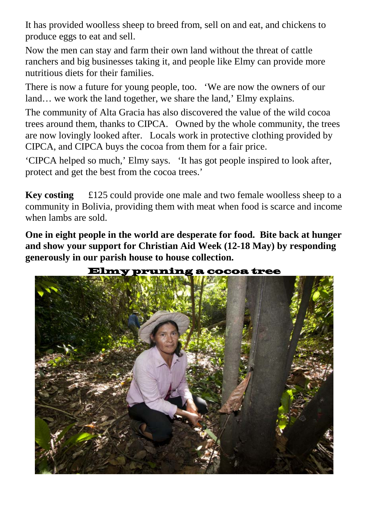It has provided woolless sheep to breed from, sell on and eat, and chickens to produce eggs to eat and sell.

Now the men can stay and farm their own land without the threat of cattle ranchers and big businesses taking it, and people like Elmy can provide more nutritious diets for their families.

There is now a future for young people, too. 'We are now the owners of our land... we work the land together, we share the land,' Elmy explains.

The community of Alta Gracia has also discovered the value of the wild cocoa trees around them, thanks to CIPCA. Owned by the whole community, the trees are now lovingly looked after. Locals work in protective clothing provided by CIPCA, and CIPCA buys the cocoa from them for a fair price.

'CIPCA helped so much,' Elmy says. 'It has got people inspired to look after, protect and get the best from the cocoa trees.'

**Key costing** £125 could provide one male and two female woolless sheep to a community in Bolivia, providing them with meat when food is scarce and income when lambs are sold.

**One in eight people in the world are desperate for food. Bite back at hunger and show your support for Christian Aid Week (12-18 May) by responding generously in our parish house to house collection.**

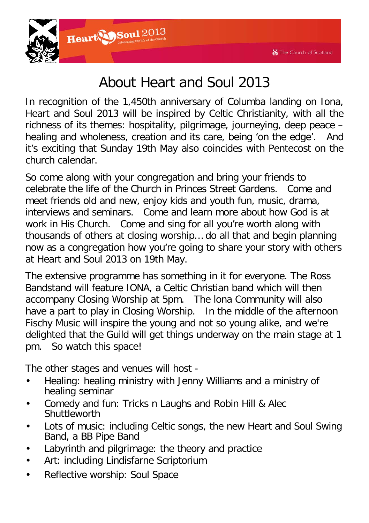

### About Heart and Soul 2013

In recognition of the 1,450th anniversary of Columba landing on Iona, Heart and Soul 2013 will be inspired by Celtic Christianity, with all the richness of its themes: hospitality, pilgrimage, journeying, deep peace – healing and wholeness, creation and its care, being 'on the edge'. And it's exciting that Sunday 19th May also coincides with Pentecost on the church calendar.

So come along with your congregation and bring your friends to celebrate the life of the Church in Princes Street Gardens. Come and meet friends old and new, enjoy kids and youth fun, music, drama, interviews and seminars. Come and learn more about how God is at work in His Church. Come and sing for all you're worth along with thousands of others at closing worship… do all that and begin planning now as a congregation how you're going to share your story with others at Heart and Soul 2013 on 19th May.

The extensive programme has something in it for everyone. The Ross Bandstand will feature IONA, a Celtic Christian band which will then accompany Closing Worship at 5pm. The lona Community will also have a part to play in Closing Worship. In the middle of the afternoon Fischy Music will inspire the young and not so young alike, and we're delighted that the Guild will get things underway on the main stage at 1 pm. So watch this space!

The other stages and venues will host -

- Healing: healing ministry with Jenny Williams and a ministry of healing seminar
- Comedy and fun: Tricks n Laughs and Robin Hill & Alec **Shuttleworth**
- Lots of music: including Celtic songs, the new Heart and Soul Swing Band, a BB Pipe Band
- Labyrinth and pilgrimage: the theory and practice
- Art: including Lindisfarne Scriptorium
- Reflective worship: Soul Space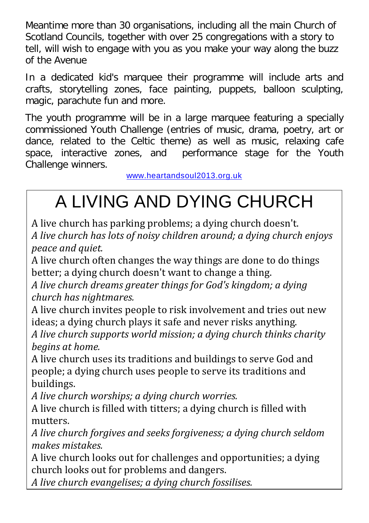Meantime more than 30 organisations, including all the main Church of Scotland Councils, together with over 25 congregations with a story to tell, will wish to engage with you as you make your way along the buzz of the Avenue

In a dedicated kid's marquee their programme will include arts and crafts, storytelling zones, face painting, puppets, balloon sculpting, magic, parachute fun and more.

The youth programme will be in a large marquee featuring a specially commissioned Youth Challenge (entries of music, drama, poetry, art or dance, related to the Celtic theme) as well as music, relaxing cafe space, interactive zones, and performance stage for the Youth Challenge winners.

[www.heartandsoul2013.org.uk](http://www.heartandsou12012.org.uk/)

# A LIVING AND DYING CHURCH

A live church has parking problems; a dying church doesn't. *A live church has lots of noisy children around; a dying church enjoys peace and quiet.*

A live church often changes the way things are done to do things better; a dying church doesn't want to change a thing.

*A live church dreams greater things for God's kingdom; a dying church has nightmares.*

A live church invites people to risk involvement and tries out new ideas; a dying church plays it safe and never risks anything.

*A live church supports world mission; a dying church thinks charity begins at home.*

A live church uses its traditions and buildings to serve God and people; a dying church uses people to serve its traditions and buildings.

*A live church worships; a dying church worries.* 

A live church is filled with titters; a dying church is filled with mutters.

*A live church forgives and seeks forgiveness; a dying church seldom makes mistakes.*

A live church looks out for challenges and opportunities; a dying church looks out for problems and dangers.

*A live church evangelises; a dying church fossilises.*